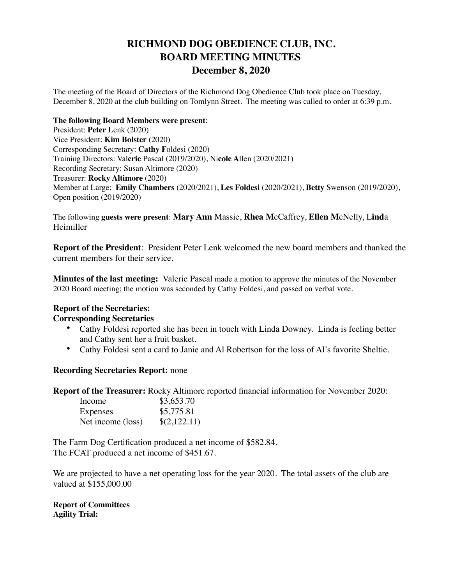# **RICHMOND DOG OBEDIENCE CLUB, INC. BOARD MEETING MINUTES December 8, 2020**

The meeting of the Board of Directors of the Richmond Dog Obedience Club took place on Tuesday, December 8, 2020 at the club building on Tomlynn Street. The meeting was called to order at 6:39 p.m.

#### **The following Board Members were present**:

President: **Peter L**enk (2020) Vice President: **Kim Bolster** (2020) Corresponding Secretary: **Cathy F**oldesi (2020) Training Directors: Val**erie** Pascal (2019/2020), Ni**cole A**llen (2020/2021) Recording Secretary: Susan Altimore (2020) Treasurer: **Rocky Altimore** (2020) Member at Large: **Emily Chambers** (2020/2021), **Les Foldesi** (2020/2021), **Betty** Swenson (2019/2020), Open position (2019/2020)

The following **guests were present**: **Mary Ann** Massie, **Rhea M**cCaffrey, **Ellen M**cNelly, L**ind**a Heimiller

**Report of the President:** President Peter Lenk welcomed the new board members and thanked the current members for their service.

**Minutes of the last meeting:** Valerie Pascal made a motion to approve the minutes of the November 2020 Board meeting; the motion was seconded by Cathy Foldesi, and passed on verbal vote.

# **Report of the Secretaries:**

### **Corresponding Secretaries**

- Cathy Foldesi reported she has been in touch with Linda Downey. Linda is feeling better and Cathy sent her a fruit basket.
- Cathy Foldesi sent a card to Janie and Al Robertson for the loss of Al's favorite Sheltie.

### **Recording Secretaries Report:** none

**Report of the Treasurer:** Rocky Altimore reported financial information for November 2020:

| Income            | \$3,653.70   |
|-------------------|--------------|
| Expenses          | \$5,775.81   |
| Net income (loss) | \$(2,122.11) |

The Farm Dog Certification produced a net income of \$582.84. The FCAT produced a net income of \$451.67.

We are projected to have a net operating loss for the year 2020. The total assets of the club are valued at \$155,000.00

**Report of Committees Agility Trial:**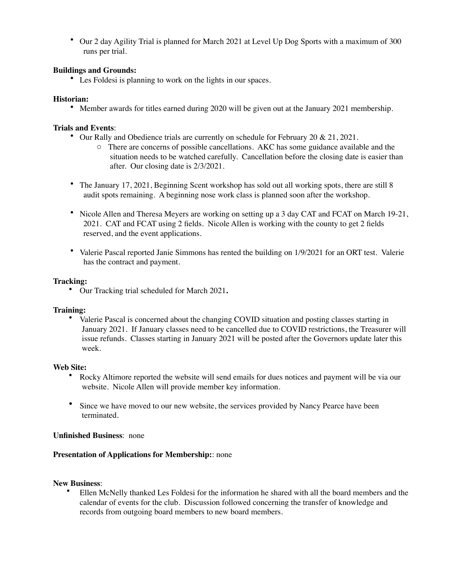• Our 2 day Agility Trial is planned for March 2021 at Level Up Dog Sports with a maximum of 300 runs per trial.

#### **Buildings and Grounds:**

• Les Foldesi is planning to work on the lights in our spaces.

#### **Historian:**

• Member awards for titles earned during 2020 will be given out at the January 2021 membership.

#### **Trials and Events**:

- Our Rally and Obedience trials are currently on schedule for February 20 & 21, 2021.
	- o There are concerns of possible cancellations. AKC has some guidance available and the situation needs to be watched carefully. Cancellation before the closing date is easier than after. Our closing date is 2/3/2021.
- The January 17, 2021, Beginning Scent workshop has sold out all working spots, there are still 8 audit spots remaining. A beginning nose work class is planned soon after the workshop.
- Nicole Allen and Theresa Meyers are working on setting up a 3 day CAT and FCAT on March 19-21, 2021. CAT and FCAT using 2 fields. Nicole Allen is working with the county to get 2 fields reserved, and the event applications.
- Valerie Pascal reported Janie Simmons has rented the building on 1/9/2021 for an ORT test. Valerie has the contract and payment.

#### **Tracking:**

• Our Tracking trial scheduled for March 2021**.**

#### **Training:**

• Valerie Pascal is concerned about the changing COVID situation and posting classes starting in January 2021. If January classes need to be cancelled due to COVID restrictions, the Treasurer will issue refunds. Classes starting in January 2021 will be posted after the Governors update later this week.

#### **Web Site:**

- Rocky Altimore reported the website will send emails for dues notices and payment will be via our website. Nicole Allen will provide member key information.
- Since we have moved to our new website, the services provided by Nancy Pearce have been terminated.

#### **Unfinished Business**: none

#### **Presentation of Applications for Membership:**: none

#### **New Business**:

• Ellen McNelly thanked Les Foldesi for the information he shared with all the board members and the calendar of events for the club. Discussion followed concerning the transfer of knowledge and records from outgoing board members to new board members.